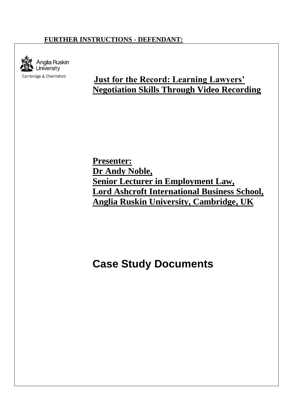## **FURTHER INSTRUCTIONS - DEFENDANT:**



## **Just for the Record: Learning Lawyers' Negotiation Skills Through Video Recording**

**Presenter: Dr Andy Noble, Senior Lecturer in Employment Law, Lord Ashcroft International Business School, Anglia Ruskin University, Cambridge, UK**

## **Case Study Documents**